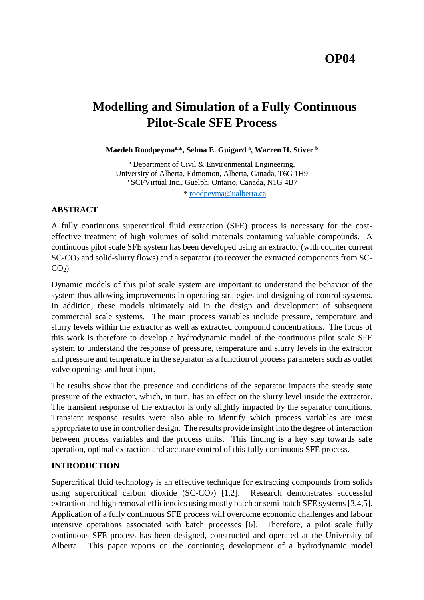## **OP04**

# **Modelling and Simulation of a Fully Continuous Pilot-Scale SFE Process**

**Maedeh Roodpeymaa,\*, Selma E. Guigard <sup>a</sup> , Warren H. Stiver <sup>b</sup>**

<sup>a</sup> Department of Civil  $& Environment$  Environmental Engineering, University of Alberta, Edmonton, Alberta, Canada, T6G 1H9 <sup>b</sup> SCFVirtual Inc., Guelph, Ontario, Canada, N1G 4B7 \* [roodpeyma@ualberta.ca](mailto:roodpeyma@ualberta.ca)

## **ABSTRACT**

A fully continuous supercritical fluid extraction (SFE) process is necessary for the costeffective treatment of high volumes of solid materials containing valuable compounds. A continuous pilot scale SFE system has been developed using an extractor (with counter current SC-CO<sup>2</sup> and solid-slurry flows) and a separator (to recover the extracted components from SC- $CO<sub>2</sub>$ ).

Dynamic models of this pilot scale system are important to understand the behavior of the system thus allowing improvements in operating strategies and designing of control systems. In addition, these models ultimately aid in the design and development of subsequent commercial scale systems. The main process variables include pressure, temperature and slurry levels within the extractor as well as extracted compound concentrations. The focus of this work is therefore to develop a hydrodynamic model of the continuous pilot scale SFE system to understand the response of pressure, temperature and slurry levels in the extractor and pressure and temperature in the separator as a function of process parameters such as outlet valve openings and heat input.

The results show that the presence and conditions of the separator impacts the steady state pressure of the extractor, which, in turn, has an effect on the slurry level inside the extractor. The transient response of the extractor is only slightly impacted by the separator conditions. Transient response results were also able to identify which process variables are most appropriate to use in controller design. The results provide insight into the degree of interaction between process variables and the process units. This finding is a key step towards safe operation, optimal extraction and accurate control of this fully continuous SFE process.

### **INTRODUCTION**

Supercritical fluid technology is an effective technique for extracting compounds from solids using supercritical carbon dioxide  $(SC-CO<sub>2</sub>)$  [1,2]. Research demonstrates successful extraction and high removal efficiencies using mostly batch or semi-batch SFE systems [3,4,5]. Application of a fully continuous SFE process will overcome economic challenges and labour intensive operations associated with batch processes [6]. Therefore, a pilot scale fully continuous SFE process has been designed, constructed and operated at the University of Alberta. This paper reports on the continuing development of a hydrodynamic model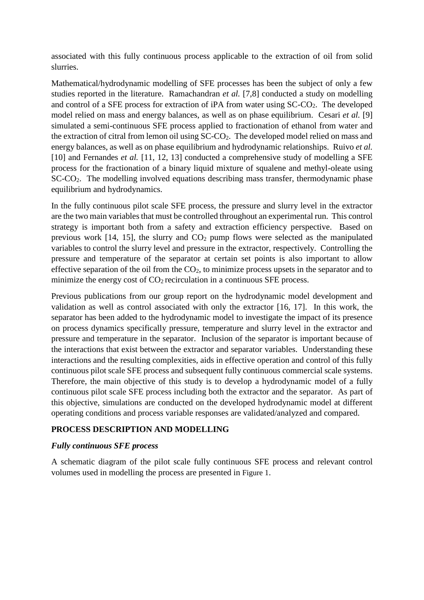associated with this fully continuous process applicable to the extraction of oil from solid slurries.

Mathematical/hydrodynamic modelling of SFE processes has been the subject of only a few studies reported in the literature. Ramachandran *et al.* [7,8] conducted a study on modelling and control of a SFE process for extraction of iPA from water using SC-CO<sub>2</sub>. The developed model relied on mass and energy balances, as well as on phase equilibrium. Cesari *et al.* [9] simulated a semi-continuous SFE process applied to fractionation of ethanol from water and the extraction of citral from lemon oil using SC-CO2. The developed model relied on mass and energy balances, as well as on phase equilibrium and hydrodynamic relationships. Ruivo *et al.* [10] and Fernandes *et al.* [11, 12, 13] conducted a comprehensive study of modelling a SFE process for the fractionation of a binary liquid mixture of squalene and methyl-oleate using SC-CO2. The modelling involved equations describing mass transfer, thermodynamic phase equilibrium and hydrodynamics.

In the fully continuous pilot scale SFE process, the pressure and slurry level in the extractor are the two main variables that must be controlled throughout an experimental run. This control strategy is important both from a safety and extraction efficiency perspective. Based on previous work  $[14, 15]$ , the slurry and  $CO<sub>2</sub>$  pump flows were selected as the manipulated variables to control the slurry level and pressure in the extractor, respectively. Controlling the pressure and temperature of the separator at certain set points is also important to allow effective separation of the oil from the  $CO<sub>2</sub>$ , to minimize process upsets in the separator and to minimize the energy cost of  $CO<sub>2</sub>$  recirculation in a continuous SFE process.

Previous publications from our group report on the hydrodynamic model development and validation as well as control associated with only the extractor [16, 17]. In this work, the separator has been added to the hydrodynamic model to investigate the impact of its presence on process dynamics specifically pressure, temperature and slurry level in the extractor and pressure and temperature in the separator. Inclusion of the separator is important because of the interactions that exist between the extractor and separator variables. Understanding these interactions and the resulting complexities, aids in effective operation and control of this fully continuous pilot scale SFE process and subsequent fully continuous commercial scale systems. Therefore, the main objective of this study is to develop a hydrodynamic model of a fully continuous pilot scale SFE process including both the extractor and the separator. As part of this objective, simulations are conducted on the developed hydrodynamic model at different operating conditions and process variable responses are validated/analyzed and compared.

### **PROCESS DESCRIPTION AND MODELLING**

### *Fully continuous SFE process*

A schematic diagram of the pilot scale fully continuous SFE process and relevant control volumes used in modelling the process are presented in [Figure 1](#page-2-0).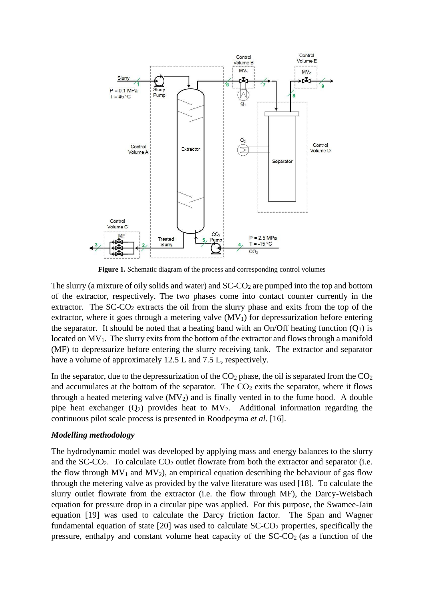

Figure 1. Schematic diagram of the process and corresponding control volumes

<span id="page-2-0"></span>The slurry (a mixture of oily solids and water) and SC-CO<sub>2</sub> are pumped into the top and bottom of the extractor, respectively. The two phases come into contact counter currently in the extractor. The  $SC-CO<sub>2</sub>$  extracts the oil from the slurry phase and exits from the top of the extractor, where it goes through a metering valve  $(MV_1)$  for depressurization before entering the separator. It should be noted that a heating band with an On/Off heating function  $(Q_1)$  is located on  $MV_1$ . The slurry exits from the bottom of the extractor and flows through a manifold (MF) to depressurize before entering the slurry receiving tank. The extractor and separator have a volume of approximately 12.5 L and 7.5 L, respectively.

In the separator, due to the depressurization of the  $CO<sub>2</sub>$  phase, the oil is separated from the  $CO<sub>2</sub>$ and accumulates at the bottom of the separator. The  $CO<sub>2</sub>$  exits the separator, where it flows through a heated metering valve  $(MV_2)$  and is finally vented in to the fume hood. A double pipe heat exchanger  $(Q_2)$  provides heat to  $MV_2$ . Additional information regarding the continuous pilot scale process is presented in Roodpeyma *et al.* [16].

### *Modelling methodology*

The hydrodynamic model was developed by applying mass and energy balances to the slurry and the  $SC-CO<sub>2</sub>$ . To calculate  $CO<sub>2</sub>$  outlet flowrate from both the extractor and separator (i.e. the flow through  $MV_1$  and  $MV_2$ ), an empirical equation describing the behaviour of gas flow through the metering valve as provided by the valve literature was used [18]. To calculate the slurry outlet flowrate from the extractor (i.e. the flow through MF), the Darcy-Weisbach equation for pressure drop in a circular pipe was applied. For this purpose, the Swamee-Jain equation [19] was used to calculate the Darcy friction factor. The Span and Wagner fundamental equation of state  $[20]$  was used to calculate  $SC\text{-}CO<sub>2</sub>$  properties, specifically the pressure, enthalpy and constant volume heat capacity of the  $SC\text{-}CO<sub>2</sub>$  (as a function of the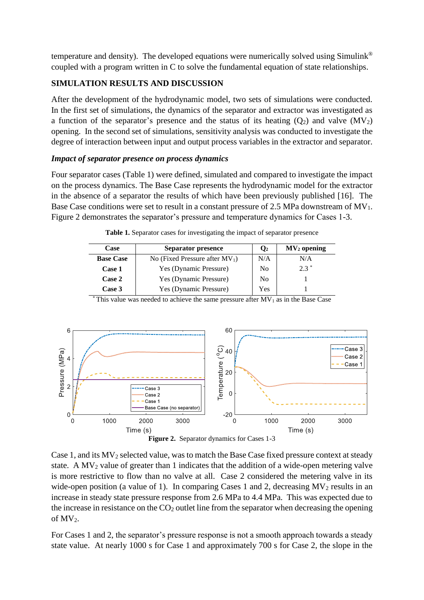temperature and density). The developed equations were numerically solved using Simulink® coupled with a program written in C to solve the fundamental equation of state relationships.

## **SIMULATION RESULTS AND DISCUSSION**

After the development of the hydrodynamic model, two sets of simulations were conducted. In the first set of simulations, the dynamics of the separator and extractor was investigated as a function of the separator's presence and the status of its heating  $(Q_2)$  and valve  $(MV_2)$ opening. In the second set of simulations, sensitivity analysis was conducted to investigate the degree of interaction between input and output process variables in the extractor and separator.

## *Impact of separator presence on process dynamics*

Four separator cases (Table 1) were defined, simulated and compared to investigate the impact on the process dynamics. The Base Case represents the hydrodynamic model for the extractor in the absence of a separator the results of which have been previously published [16]. The Base Case conditions were set to result in a constant pressure of 2.5 MPa downstream of  $MV_1$ . Figure 2 demonstrates the separator's pressure and temperature dynamics for Cases 1-3.

| Case             | <b>Separator presence</b>         | $\mathbf{O}_2$ | $MV2$ opening |
|------------------|-----------------------------------|----------------|---------------|
| <b>Base Case</b> | No (Fixed Pressure after $MV_1$ ) | N/A            | N/A           |
| Case 1           | Yes (Dynamic Pressure)            | N <sub>0</sub> | $2.3*$        |
| Case 2           | Yes (Dynamic Pressure)            | N <sub>0</sub> |               |
| Case 3           | Yes (Dynamic Pressure)            | Yes            |               |

**Table 1.** Separator cases for investigating the impact of separator presence

This value was needed to achieve the same pressure after  $MV_1$  as in the Base Case



Case 1, and its MV<sub>2</sub> selected value, was to match the Base Case fixed pressure context at steady state. A  $MV_2$  value of greater than 1 indicates that the addition of a wide-open metering valve is more restrictive to flow than no valve at all. Case 2 considered the metering valve in its wide-open position (a value of 1). In comparing Cases 1 and 2, decreasing  $MV_2$  results in an increase in steady state pressure response from 2.6 MPa to 4.4 MPa. This was expected due to the increase in resistance on the  $CO<sub>2</sub>$  outlet line from the separator when decreasing the opening of MV<sub>2</sub>.

For Cases 1 and 2, the separator's pressure response is not a smooth approach towards a steady state value. At nearly 1000 s for Case 1 and approximately 700 s for Case 2, the slope in the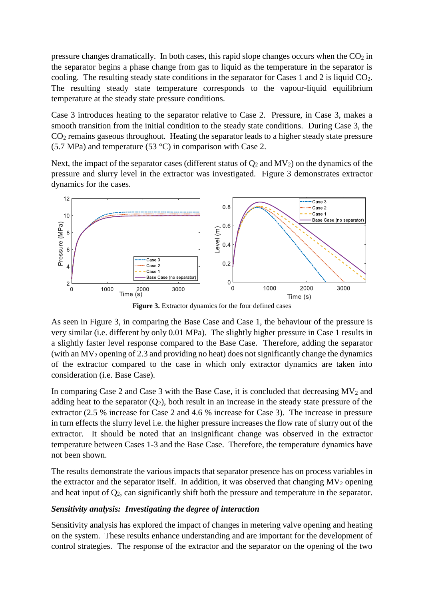pressure changes dramatically. In both cases, this rapid slope changes occurs when the  $CO<sub>2</sub>$  in the separator begins a phase change from gas to liquid as the temperature in the separator is cooling. The resulting steady state conditions in the separator for Cases 1 and 2 is liquid CO2. The resulting steady state temperature corresponds to the vapour-liquid equilibrium temperature at the steady state pressure conditions.

Case 3 introduces heating to the separator relative to Case 2. Pressure, in Case 3, makes a smooth transition from the initial condition to the steady state conditions. During Case 3, the CO<sup>2</sup> remains gaseous throughout. Heating the separator leads to a higher steady state pressure (5.7 MPa) and temperature (53  $^{\circ}$ C) in comparison with Case 2.

Next, the impact of the separator cases (different status of  $Q_2$  and  $MV_2$ ) on the dynamics of the pressure and slurry level in the extractor was investigated. Figure 3 demonstrates extractor dynamics for the cases.



Figure 3. Extractor dynamics for the four defined cases

As seen in Figure 3, in comparing the Base Case and Case 1, the behaviour of the pressure is very similar (i.e. different by only 0.01 MPa). The slightly higher pressure in Case 1 results in a slightly faster level response compared to the Base Case. Therefore, adding the separator (with an  $MV_2$  opening of 2.3 and providing no heat) does not significantly change the dynamics of the extractor compared to the case in which only extractor dynamics are taken into consideration (i.e. Base Case).

In comparing Case 2 and Case 3 with the Base Case, it is concluded that decreasing  $MV_2$  and adding heat to the separator  $(Q_2)$ , both result in an increase in the steady state pressure of the extractor (2.5 % increase for Case 2 and 4.6 % increase for Case 3). The increase in pressure in turn effects the slurry level i.e. the higher pressure increases the flow rate of slurry out of the extractor. It should be noted that an insignificant change was observed in the extractor temperature between Cases 1-3 and the Base Case. Therefore, the temperature dynamics have not been shown.

The results demonstrate the various impacts that separator presence has on process variables in the extractor and the separator itself. In addition, it was observed that changing  $MV_2$  opening and heat input of  $Q_2$ , can significantly shift both the pressure and temperature in the separator.

## *Sensitivity analysis: Investigating the degree of interaction*

Sensitivity analysis has explored the impact of changes in metering valve opening and heating on the system. These results enhance understanding and are important for the development of control strategies. The response of the extractor and the separator on the opening of the two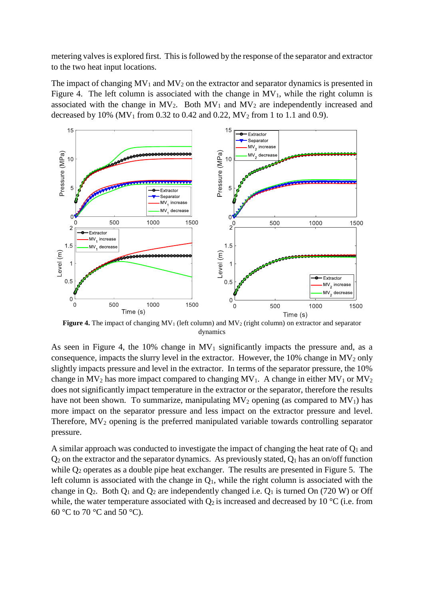metering valves is explored first. This is followed by the response of the separator and extractor to the two heat input locations.

The impact of changing  $MV_1$  and  $MV_2$  on the extractor and separator dynamics is presented in Figure 4. The left column is associated with the change in  $MV_1$ , while the right column is associated with the change in  $MV_2$ . Both  $MV_1$  and  $MV_2$  are independently increased and decreased by 10% ( $MV_1$  from 0.32 to 0.42 and 0.22,  $MV_2$  from 1 to 1.1 and 0.9).



Figure 4. The impact of changing MV<sub>1</sub> (left column) and MV<sub>2</sub> (right column) on extractor and separator dynamics

As seen in Figure 4, the 10% change in  $MV_1$  significantly impacts the pressure and, as a consequence, impacts the slurry level in the extractor. However, the 10% change in  $MV_2$  only slightly impacts pressure and level in the extractor. In terms of the separator pressure, the 10% change in  $MV_2$  has more impact compared to changing  $MV_1$ . A change in either  $MV_1$  or  $MV_2$ does not significantly impact temperature in the extractor or the separator, therefore the results have not been shown. To summarize, manipulating  $MV_2$  opening (as compared to  $MV_1$ ) has more impact on the separator pressure and less impact on the extractor pressure and level. Therefore,  $MV_2$  opening is the preferred manipulated variable towards controlling separator pressure.

A similar approach was conducted to investigate the impact of changing the heat rate of  $Q_1$  and  $Q_2$  on the extractor and the separator dynamics. As previously stated,  $Q_1$  has an on/off function while  $Q_2$  operates as a double pipe heat exchanger. The results are presented in Figure 5. The left column is associated with the change in  $Q_1$ , while the right column is associated with the change in  $Q_2$ . Both  $Q_1$  and  $Q_2$  are independently changed i.e.  $Q_1$  is turned On (720 W) or Off while, the water temperature associated with  $Q_2$  is increased and decreased by 10 °C (i.e. from 60 °C to 70 °C and 50 °C).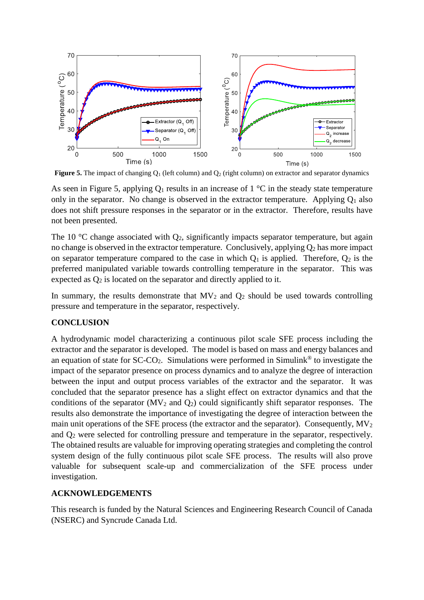

Figure 5. The impact of changing Q<sub>1</sub> (left column) and Q<sub>2</sub> (right column) on extractor and separator dynamics

As seen in Figure 5, applying  $Q_1$  results in an increase of  $1 \degree C$  in the steady state temperature only in the separator. No change is observed in the extractor temperature. Applying  $O_1$  also does not shift pressure responses in the separator or in the extractor. Therefore, results have not been presented.

The 10  $\degree$ C change associated with  $Q_2$ , significantly impacts separator temperature, but again no change is observed in the extractor temperature. Conclusively, applying  $Q_2$  has more impact on separator temperature compared to the case in which  $Q_1$  is applied. Therefore,  $Q_2$  is the preferred manipulated variable towards controlling temperature in the separator. This was expected as  $Q_2$  is located on the separator and directly applied to it.

In summary, the results demonstrate that  $MV_2$  and  $Q_2$  should be used towards controlling pressure and temperature in the separator, respectively.

## **CONCLUSION**

A hydrodynamic model characterizing a continuous pilot scale SFE process including the extractor and the separator is developed. The model is based on mass and energy balances and an equation of state for  $SC-CO_2$ . Simulations were performed in Simulink<sup>®</sup> to investigate the impact of the separator presence on process dynamics and to analyze the degree of interaction between the input and output process variables of the extractor and the separator. It was concluded that the separator presence has a slight effect on extractor dynamics and that the conditions of the separator ( $MV_2$  and  $O_2$ ) could significantly shift separator responses. The results also demonstrate the importance of investigating the degree of interaction between the main unit operations of the SFE process (the extractor and the separator). Consequently,  $MV_2$ and Q<sup>2</sup> were selected for controlling pressure and temperature in the separator, respectively. The obtained results are valuable for improving operating strategies and completing the control system design of the fully continuous pilot scale SFE process. The results will also prove valuable for subsequent scale-up and commercialization of the SFE process under investigation.

## **ACKNOWLEDGEMENTS**

This research is funded by the Natural Sciences and Engineering Research Council of Canada (NSERC) and Syncrude Canada Ltd.